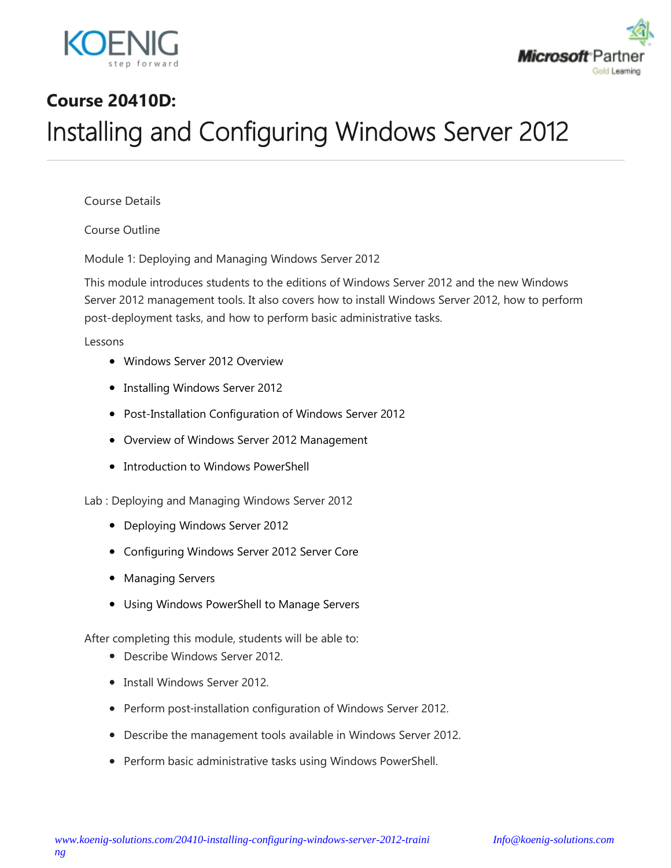



# **Course 20410D:** Installing and Configuring Windows Server 2012

Course Details

Course Outline

Module 1: Deploying and Managing Windows Server 2012

This module introduces students to the editions of Windows Server 2012 and the new Windows Server 2012 management tools. It also covers how to install Windows Server 2012, how to perform post-deployment tasks, and how to perform basic administrative tasks.

Lessons

- Windows Server 2012 Overview
- Installing Windows Server 2012
- Post-Installation Configuration of Windows Server 2012
- Overview of Windows Server 2012 Management
- Introduction to Windows PowerShell

Lab : Deploying and Managing Windows Server 2012

- Deploying Windows Server 2012
- Configuring Windows Server 2012 Server Core
- Managing Servers
- Using Windows PowerShell to Manage Servers

- Describe Windows Server 2012.
- Install Windows Server 2012.
- Perform post-installation configuration of Windows Server 2012.
- Describe the management tools available in Windows Server 2012.
- Perform basic administrative tasks using Windows PowerShell.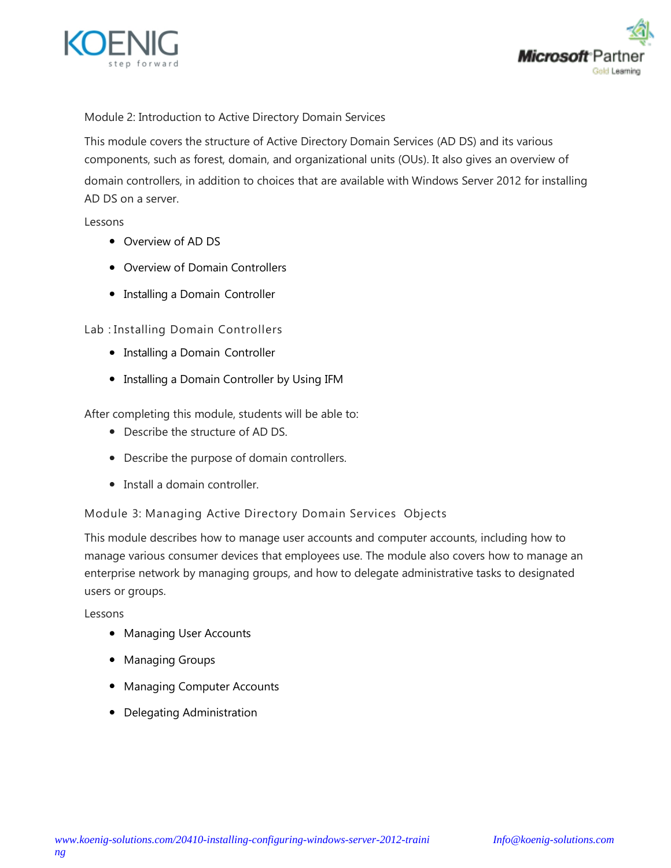



Module 2: Introduction to Active Directory Domain Services

This module covers the structure of Active Directory Domain Services (AD DS) and its various components, such as forest, domain, and organizational units (OUs). It also gives an overview of domain controllers, in addition to choices that are available with Windows Server 2012 for installing AD DS on a server.

Lessons

- Overview of AD DS
- Overview of Domain Controllers
- Installing a Domain Controller

Lab : Installing Domain Controllers

- Installing a Domain Controller
- Installing a Domain Controller by Using IFM

After completing this module, students will be able to:

- Describe the structure of AD DS.
- Describe the purpose of domain controllers.
- Install a domain controller.

Module 3: Managing Active Directory Domain Services Objects

This module describes how to manage user accounts and computer accounts, including how to manage various consumer devices that employees use. The module also covers how to manage an enterprise network by managing groups, and how to delegate administrative tasks to designated users or groups.

Lessons

- Managing User Accounts
- Managing Groups
- Managing Computer Accounts
- Delegating Administration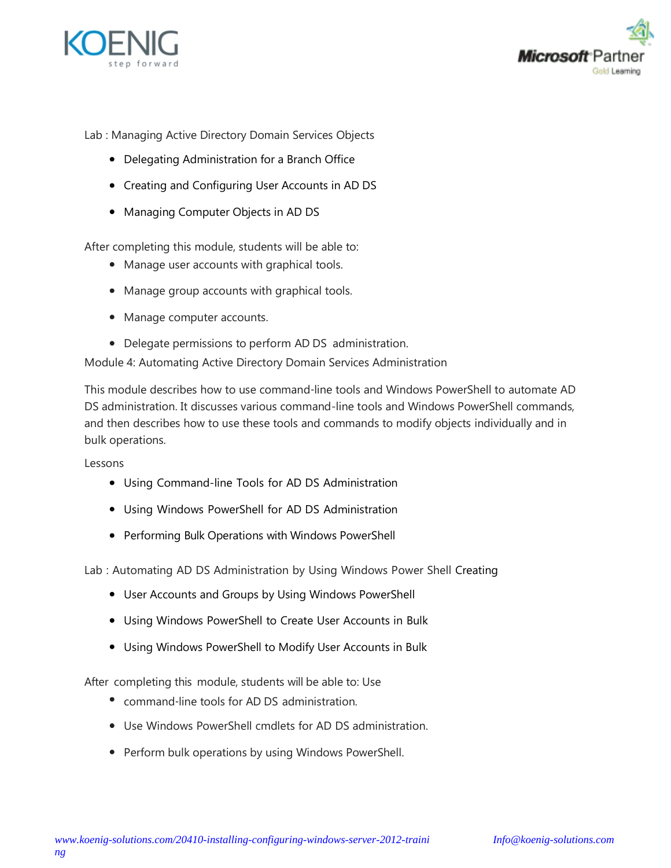



Lab : Managing Active Directory Domain Services Objects

- Delegating Administration for a Branch Office
- Creating and Configuring User Accounts in AD DS
- Managing Computer Objects in AD DS

After completing this module, students will be able to:

- Manage user accounts with graphical tools.
- Manage group accounts with graphical tools.
- Manage computer accounts.
- Delegate permissions to perform AD DS administration.

Module 4: Automating Active Directory Domain Services Administration

This module describes how to use command‑line tools and Windows PowerShell to automate AD DS administration. It discusses various command-line tools and Windows PowerShell commands, and then describes how to use these tools and commands to modify objects individually and in bulk operations.

Lessons

- Using Command-line Tools for AD DS Administration
- Using Windows PowerShell for AD DS Administration
- Performing Bulk Operations with Windows PowerShell

Lab : Automating AD DS Administration by Using Windows Power Shell Creating

- User Accounts and Groups by Using Windows PowerShell
- Using Windows PowerShell to Create User Accounts in Bulk
- Using Windows PowerShell to Modify User Accounts in Bulk

- command-line tools for AD DS administration.
- Use Windows PowerShell cmdlets for AD DS administration.
- Perform bulk operations by using Windows PowerShell.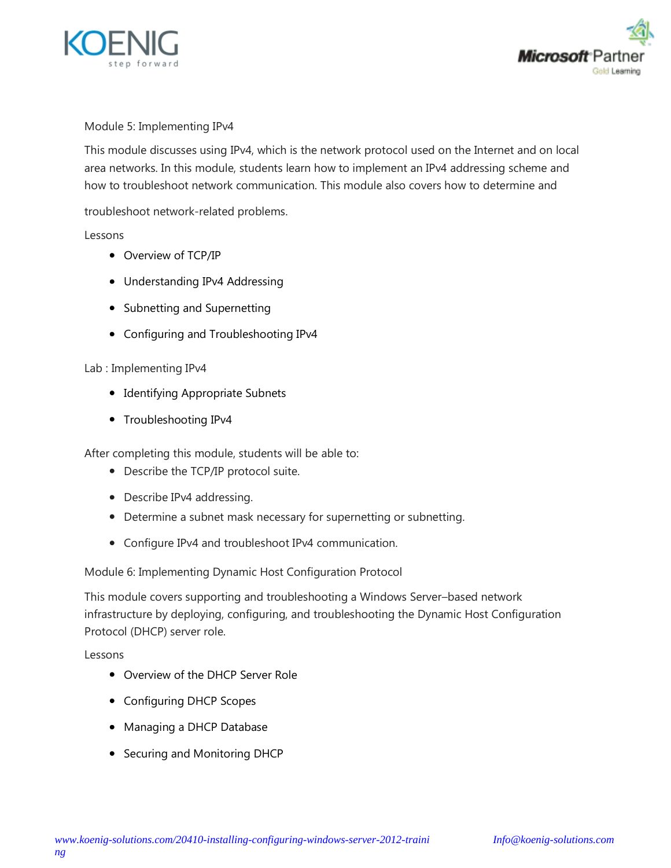



### Module 5: Implementing IPv4

This module discusses using IPv4, which is the network protocol used on the Internet and on local area networks. In this module, students learn how to implement an IPv4 addressing scheme and how to troubleshoot network communication. This module also covers how to determine and

troubleshoot network-related problems.

#### Lessons

- Overview of TCP/IP
- Understanding IPv4 Addressing
- Subnetting and Supernetting
- Configuring and Troubleshooting IPv4

## Lab : Implementing IPv4

- Identifying Appropriate Subnets
- Troubleshooting IPv4

After completing this module, students will be able to:

- Describe the TCP/IP protocol suite.
- Describe IPv4 addressing.
- Determine a subnet mask necessary for supernetting or subnetting.
- Configure IPv4 and troubleshoot IPv4 communication.

Module 6: Implementing Dynamic Host Configuration Protocol

This module covers supporting and troubleshooting a Windows Server–based network infrastructure by deploying, configuring, and troubleshooting the Dynamic Host Configuration Protocol (DHCP) server role.

Lessons

- Overview of the DHCP Server Role
- Configuring DHCP Scopes
- Managing a DHCP Database
- Securing and Monitoring DHCP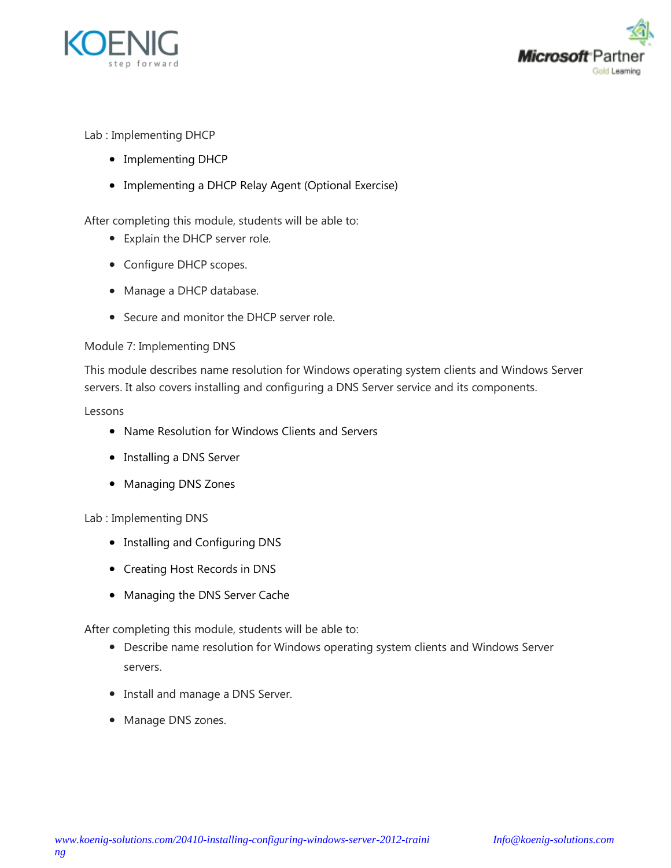



Lab : Implementing DHCP

- Implementing DHCP
- Implementing a DHCP Relay Agent (Optional Exercise)

After completing this module, students will be able to:

- Explain the DHCP server role.
- Configure DHCP scopes.
- Manage a DHCP database.
- Secure and monitor the DHCP server role.

#### Module 7: Implementing DNS

This module describes name resolution for Windows operating system clients and Windows Server servers. It also covers installing and configuring a DNS Server service and its components.

#### Lessons

- Name Resolution for Windows Clients and Servers
- Installing a DNS Server
- Managing DNS Zones

#### Lab : Implementing DNS

- Installing and Configuring DNS
- Creating Host Records in DNS
- Managing the DNS Server Cache

- Describe name resolution for Windows operating system clients and Windows Server servers.
- Install and manage a DNS Server.
- Manage DNS zones.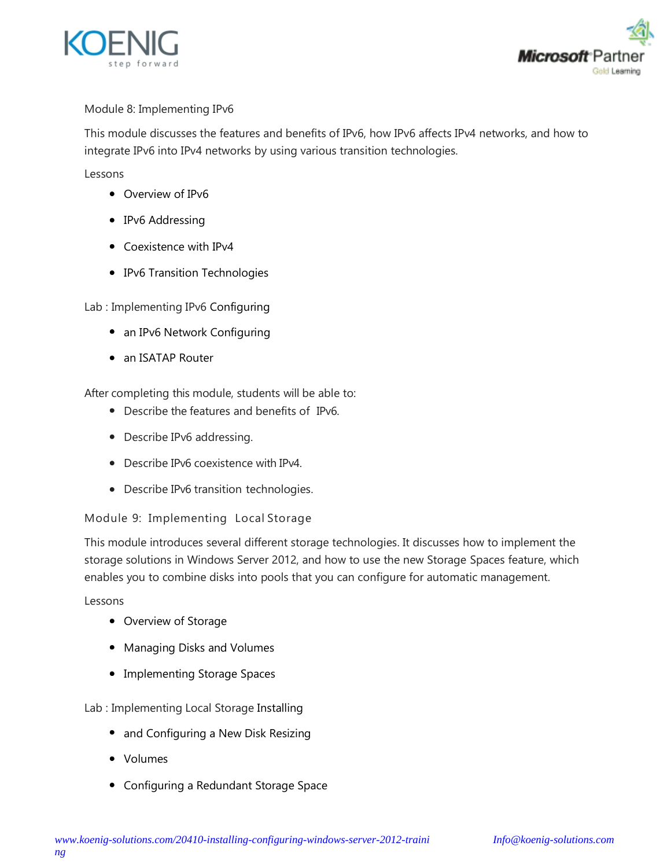



# Module 8: Implementing IPv6

This module discusses the features and benefits of IPv6, how IPv6 affects IPv4 networks, and how to integrate IPv6 into IPv4 networks by using various transition technologies.

Lessons

- Overview of IPv6
- IPv6 Addressing
- Coexistence with IPv4
- IPv6 Transition Technologies

Lab : Implementing IPv6 Configuring

- an IPv6 Network Configuring
- an ISATAP Router

After completing this module, students will be able to:

- Describe the features and benefits of IPv6.
- Describe IPv6 addressing.
- Describe IPv6 coexistence with IPv4.
- Describe IPv6 transition technologies.

## Module 9: Implementing Local Storage

This module introduces several different storage technologies. It discusses how to implement the storage solutions in Windows Server 2012, and how to use the new Storage Spaces feature, which enables you to combine disks into pools that you can configure for automatic management.

Lessons

- Overview of Storage
- Managing Disks and Volumes
- Implementing Storage Spaces

Lab : Implementing Local Storage Installing

- and Configuring a New Disk Resizing
- Volumes
- Configuring a Redundant Storage Space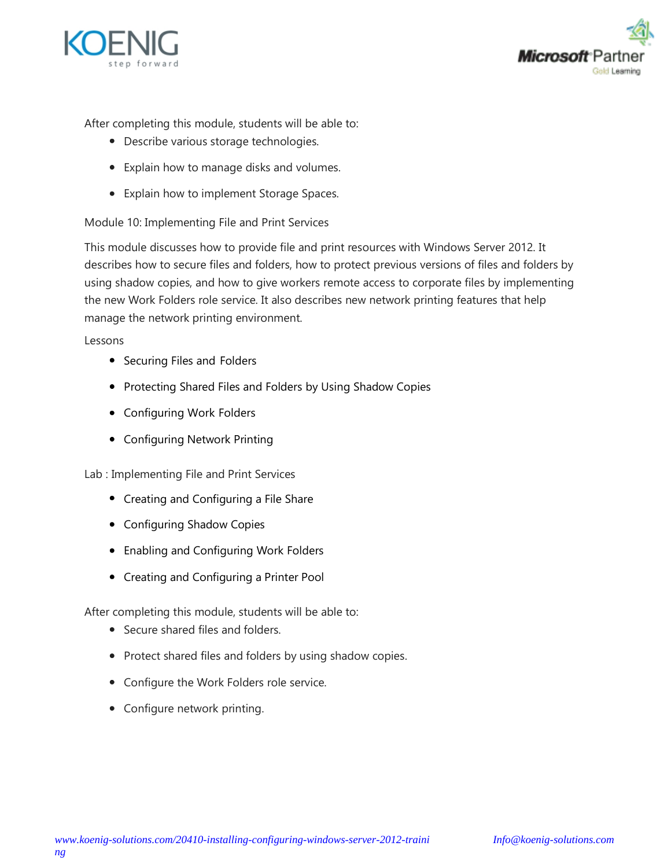



After completing this module, students will be able to:

- Describe various storage technologies.
- Explain how to manage disks and volumes.
- Explain how to implement Storage Spaces.

Module 10: Implementing File and Print Services

This module discusses how to provide file and print resources with Windows Server 2012. It describes how to secure files and folders, how to protect previous versions of files and folders by using shadow copies, and how to give workers remote access to corporate files by implementing the new Work Folders role service. It also describes new network printing features that help manage the network printing environment.

Lessons

- Securing Files and Folders
- Protecting Shared Files and Folders by Using Shadow Copies
- Configuring Work Folders
- Configuring Network Printing

Lab : Implementing File and Print Services

- Creating and Configuring a File Share
- Configuring Shadow Copies
- Enabling and Configuring Work Folders
- Creating and Configuring a Printer Pool

- Secure shared files and folders.
- Protect shared files and folders by using shadow copies.
- Configure the Work Folders role service.
- Configure network printing.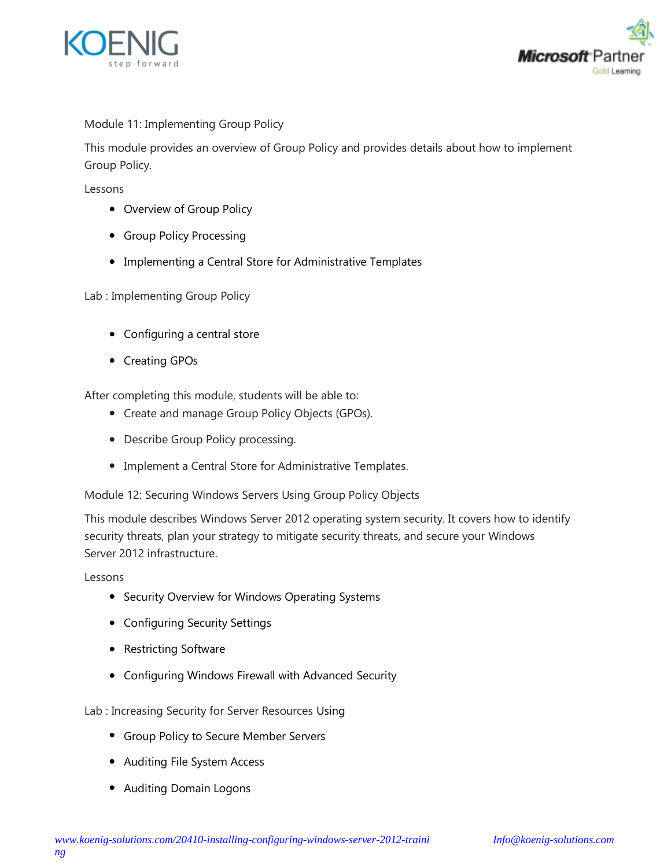



## Module 11: Implementing Group Policy

This module provides an overview of Group Policy and provides details about how to implement Group Policy.

Lessons

- Overview of Group Policy
- **•** Group Policy Processing
- Implementing a Central Store for Administrative Templates

Lab : Implementing Group Policy

- Configuring a central store
- Creating GPOs

After completing this module, students will be able to:

- Create and manage Group Policy Objects (GPOs).
- Describe Group Policy processing.
- Implement a Central Store for Administrative Templates.

Module 12: Securing Windows Servers Using Group Policy Objects

This module describes Windows Server 2012 operating system security. It covers how to identify security threats, plan your strategy to mitigate security threats, and secure your Windows Server 2012 infrastructure.

Lessons

- Security Overview for Windows Operating Systems
- Configuring Security Settings
- Restricting Software
- Configuring Windows Firewall with Advanced Security

Lab : Increasing Security for Server Resources Using

- Group Policy to Secure Member Servers
- Auditing File System Access
- Auditing Domain Logons